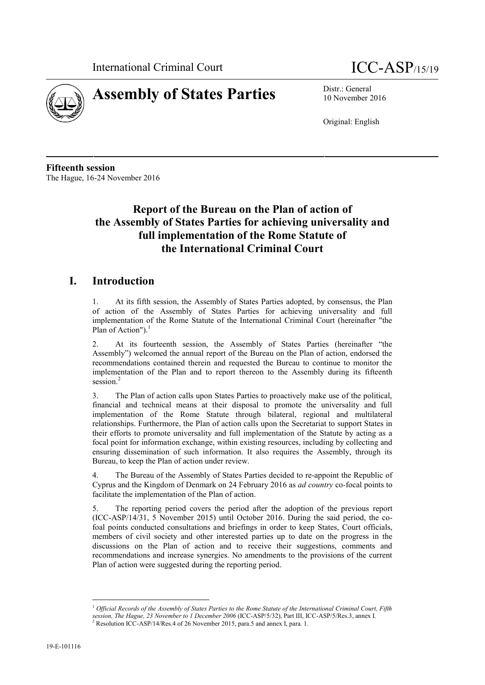



10 November 2016

Original: English

**Fifteenth session** The Hague, 16-24 November 2016

# **Report of the Bureau on the Plan of action of the Assembly of States Parties for achieving universality and full implementation of the Rome Statute of the International Criminal Court**

# **I. Introduction**

1. At its fifth session, the Assembly of States Parties adopted, by consensus, the Plan of action of the Assembly of States Parties for achieving universality and full implementation of the Rome Statute of the International Criminal Court (hereinafter "the Plan of Action").<sup>1</sup>

2. At its fourteenth session, the Assembly of States Parties (hereinafter "the Assembly") welcomed the annual report of the Bureau on the Plan of action, endorsed the recommendations contained therein and requested the Bureau to continue to monitor the implementation of the Plan and to report thereon to the Assembly during its fifteenth session.<sup>2</sup>

3. The Plan of action calls upon States Parties to proactively make use of the political, financial and technical means at their disposal to promote the universality and full implementation of the Rome Statute through bilateral, regional and multilateral relationships. Furthermore, the Plan of action calls upon the Secretariat to support States in their efforts to promote universality and full implementation of the Statute by acting as a focal point for information exchange, within existing resources, including by collecting and ensuring dissemination of such information. It also requires the Assembly, through its Bureau, to keep the Plan of action under review.

4. The Bureau of the Assembly of States Parties decided to re-appoint the Republic of Cyprus and the Kingdom of Denmark on 24 February 2016 as *ad country* co*-*focal points to facilitate the implementation of the Plan of action.

5. The reporting period covers the period after the adoption of the previous report (ICC-ASP/14/31, 5 November 2015) until Οctober 2016. During the said period, the cofoal points conducted consultations and briefings in order to keep States, Court officials, members of civil society and other interested parties up to date on the progress in the discussions on the Plan of action and to receive their suggestions, comments and recommendations and increase synergies. No amendments to the provisions of the current Plan of action were suggested during the reporting period.

<sup>1</sup> *Official Records of the Assembly of States Parties to the Rome Statute of the International Criminal Court, Fifth session, The Hague, 23 November to 1 December 2006* (ICC-ASP/5/32), Part III, ICC-ASP/5/Res.3, annex I.<br><sup>2</sup> Resolution ICC-ASP/14/Res.4 of 26 November 2015, para.5 and annex I, para. 1.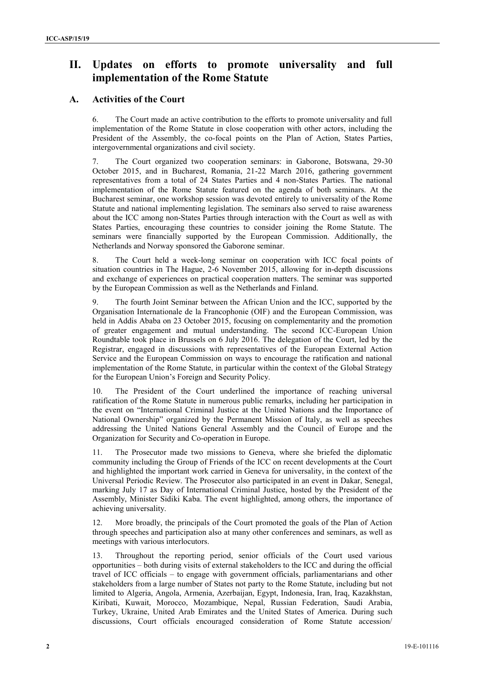# **II. Updates on efforts to promote universality and full implementation of the Rome Statute**

### **A. Activities of the Court**

6. The Court made an active contribution to the efforts to promote universality and full implementation of the Rome Statute in close cooperation with other actors, including the President of the Assembly, the co-focal points on the Plan of Action, States Parties, intergovernmental organizations and civil society.

7. The Court organized two cooperation seminars: in Gaborone, Botswana, 29-30 October 2015, and in Bucharest, Romania, 21-22 March 2016, gathering government representatives from a total of 24 States Parties and 4 non-States Parties. The national implementation of the Rome Statute featured on the agenda of both seminars. At the Bucharest seminar, one workshop session was devoted entirely to universality of the Rome Statute and national implementing legislation. The seminars also served to raise awareness about the ICC among non-States Parties through interaction with the Court as well as with States Parties, encouraging these countries to consider joining the Rome Statute. The seminars were financially supported by the European Commission. Additionally, the Netherlands and Norway sponsored the Gaborone seminar.

8. The Court held a week-long seminar on cooperation with ICC focal points of situation countries in The Hague, 2-6 November 2015, allowing for in-depth discussions and exchange of experiences on practical cooperation matters. The seminar was supported by the European Commission as well as the Netherlands and Finland.

9. The fourth Joint Seminar between the African Union and the ICC, supported by the Organisation Internationale de la Francophonie (OIF) and the European Commission, was held in Addis Ababa on 23 October 2015, focusing on complementarity and the promotion of greater engagement and mutual understanding. The second ICC-European Union Roundtable took place in Brussels on 6 July 2016. The delegation of the Court, led by the Registrar, engaged in discussions with representatives of the European External Action Service and the European Commission on ways to encourage the ratification and national implementation of the Rome Statute, in particular within the context of the Global Strategy for the European Union's Foreign and Security Policy.

10. The President of the Court underlined the importance of reaching universal ratification of the Rome Statute in numerous public remarks, including her participation in the event on "International Criminal Justice at the United Nations and the Importance of National Ownership" organized by the Permanent Mission of Italy, as well as speeches addressing the United Nations General Assembly and the Council of Europe and the Organization for Security and Co-operation in Europe.

11. The Prosecutor made two missions to Geneva, where she briefed the diplomatic community including the Group of Friends of the ICC on recent developments at the Court and highlighted the important work carried in Geneva for universality, in the context of the Universal Periodic Review. The Prosecutor also participated in an event in Dakar, Senegal, marking July 17 as Day of International Criminal Justice, hosted by the President of the Assembly, Minister Sidiki Kaba. The event highlighted, among others, the importance of achieving universality.

12. More broadly, the principals of the Court promoted the goals of the Plan of Action through speeches and participation also at many other conferences and seminars, as well as meetings with various interlocutors.

13. Throughout the reporting period, senior officials of the Court used various opportunities – both during visits of external stakeholders to the ICC and during the official travel of ICC officials – to engage with government officials, parliamentarians and other stakeholders from a large number of States not party to the Rome Statute, including but not limited to Algeria, Angola, Armenia, Azerbaijan, Egypt, Indonesia, Iran, Iraq, Kazakhstan, Kiribati, Kuwait, Morocco, Mozambique, Nepal, Russian Federation, Saudi Arabia, Turkey, Ukraine, United Arab Emirates and the United States of America. During such discussions, Court officials encouraged consideration of Rome Statute accession/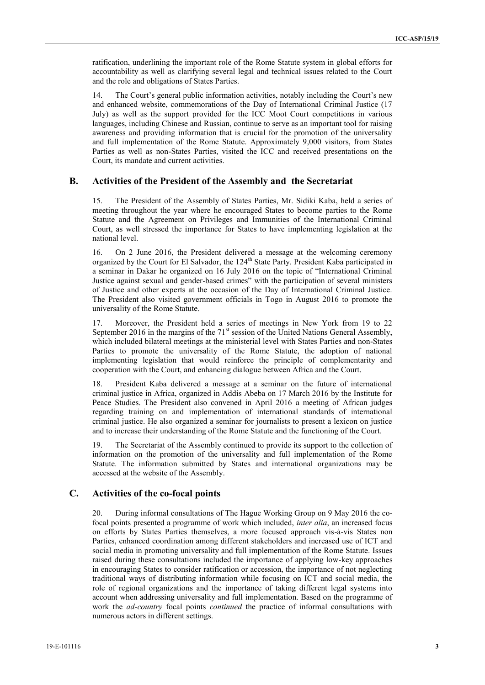ratification, underlining the important role of the Rome Statute system in global efforts for accountability as well as clarifying several legal and technical issues related to the Court and the role and obligations of States Parties.

14. The Court's general public information activities, notably including the Court's new and enhanced website, commemorations of the Day of International Criminal Justice (17 July) as well as the support provided for the ICC Moot Court competitions in various languages, including Chinese and Russian, continue to serve as an important tool for raising awareness and providing information that is crucial for the promotion of the universality and full implementation of the Rome Statute. Approximately 9,000 visitors, from States Parties as well as non-States Parties, visited the ICC and received presentations on the Court, its mandate and current activities.

#### **B. Activities of the President of the Assembly and the Secretariat**

15. The President of the Assembly of States Parties, Mr. Sidiki Kaba, held a series of meeting throughout the year where he encouraged States to become parties to the Rome Statute and the Agreement on Privileges and Immunities of the International Criminal Court, as well stressed the importance for States to have implementing legislation at the national level.

16. On 2 June 2016, the President delivered a message at the welcoming ceremony organized by the Court for El Salvador, the 124<sup>th</sup> State Party. President Kaba participated in a seminar in Dakar he organized on 16 July 2016 on the topic of "International Criminal Justice against sexual and gender-based crimes" with the participation of several ministers of Justice and other experts at the occasion of the Day of International Criminal Justice. The President also visited government officials in Togo in August 2016 to promote the universality of the Rome Statute.

17. Moreover, the President held a series of meetings in New York from 19 to 22 September 2016 in the margins of the 71<sup>st</sup> session of the United Nations General Assembly, which included bilateral meetings at the ministerial level with States Parties and non-States Parties to promote the universality of the Rome Statute, the adoption of national implementing legislation that would reinforce the principle of complementarity and cooperation with the Court, and enhancing dialogue between Africa and the Court.

18. President Kaba delivered a message at a seminar on the future of international criminal justice in Africa, organized in Addis Abeba on 17 March 2016 by the Institute for Peace Studies. The President also convened in April 2016 a meeting of African judges regarding training on and implementation of international standards of international criminal justice. He also organized a seminar for journalists to present a lexicon on justice and to increase their understanding of the Rome Statute and the functioning of the Court.

19. The Secretariat of the Assembly continued to provide its support to the collection of information on the promotion of the universality and full implementation of the Rome Statute. The information submitted by States and international organizations may be accessed at the website of the Assembly.

### **C. Activities of the co-focal points**

20. During informal consultations of The Hague Working Group on 9 May 2016 the cofocal points presented a programme of work which included, *inter alia*, an increased focus on efforts by States Parties themselves, a more focused approach vis-à-vis States non Parties, enhanced coordination among different stakeholders and increased use of ICT and social media in promoting universality and full implementation of the Rome Statute. Issues raised during these consultations included the importance of applying low-key approaches in encouraging States to consider ratification or accession, the importance of not neglecting traditional ways of distributing information while focusing on ICT and social media, the role of regional organizations and the importance of taking different legal systems into account when addressing universality and full implementation. Based on the programme of work the *ad-country* focal points *continued* the practice of informal consultations with numerous actors in different settings.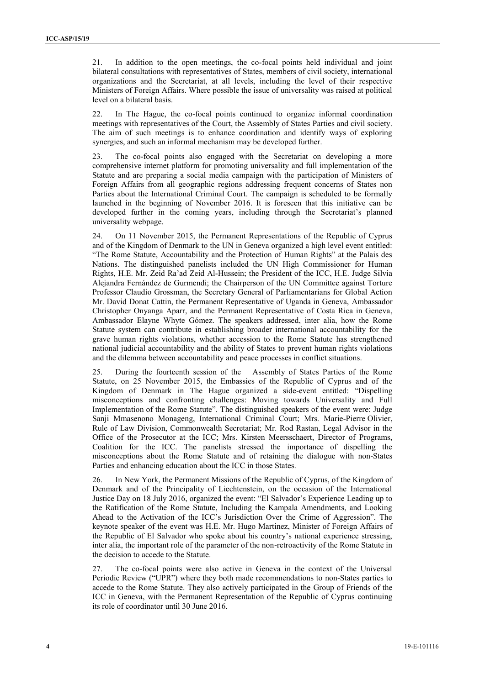21. In addition to the open meetings, the co-focal points held individual and joint bilateral consultations with representatives of States, members of civil society, international organizations and the Secretariat, at all levels, including the level of their respective Ministers of Foreign Affairs. Where possible the issue of universality was raised at political level on a bilateral basis.

22. In The Hague, the co-focal points continued to organize informal coordination meetings with representatives of the Court, the Assembly of States Parties and civil society. The aim of such meetings is to enhance coordination and identify ways of exploring synergies, and such an informal mechanism maybe developed further.

23. The co-focal points also engaged with the Secretariat on developing a more comprehensive internet platform for promoting universality and full implementation of the Statute and are preparing a social media campaign with the participation of Ministers of Foreign Affairs from all geographic regions addressing frequent concerns of States non Parties about the International Criminal Court. The campaign is scheduled to be formally launched in the beginning of November 2016. It is foreseen that this initiative can be developed further in the coming years, including through the Secretariat's planned universality webpage.

24. On 11 November 2015, the Permanent Representations of the Republic of Cyprus and of the Kingdom of Denmark to the UN in Geneva organized a high level event entitled: "The Rome Statute, Accountability and the Protection of Human Rights" at the Palais des Nations. The distinguished panelists included the UN High Commissioner for Human Rights, H.E. Mr. Zeid Ra'ad Zeid Al-Hussein; the President of the ICC, H.E. Judge Silvia Alejandra Fernández de Gurmendi; the Chairperson of the UN Committee against Torture Professor Claudio Grossman, the Secretary General of Parliamentarians for Global Action Mr. David Donat Cattin, the Permanent Representative of Uganda in Geneva, Ambassador Christopher Onyanga Aparr, and the Permanent Representative of Costa Rica in Geneva, Ambassador Elayne Whyte Gómez. The speakers addressed, inter alia, how the Rome Statute system can contribute in establishing broader international accountability for the grave human rights violations, whether accession to the Rome Statute has strengthened national judicial accountability and the ability of States to prevent human rights violations and the dilemma between accountability and peace processes in conflict situations.

25. During the fourteenth session of the Assembly of States Parties of the Rome Statute, on 25 November 2015, the Embassies of the Republic of Cyprus and of the Kingdom of Denmark in The Hague organized a side-event entitled: "Dispelling misconceptions and confronting challenges: Moving towards Universality and Full Implementation of the Rome Statute". The distinguished speakers of the event were: Judge Sanji Mmasenono Monageng, International Criminal Court; Mrs. Marie-Pierre Olivier, Rule of Law Division, Commonwealth Secretariat; Mr. Rod Rastan, Legal Advisor in the Office of the Prosecutor at the ICC; Mrs. Kirsten Meersschaert, Director of Programs, Coalition for the ICC. The panelists stressed the importance of dispelling the misconceptions about the Rome Statute and of retaining the dialogue with non-States Parties and enhancing education about the ICC in those States.

26. In New York, the Permanent Missions of the Republic of Cyprus, of the Kingdom of Denmark and of the Principality of Liechtenstein, on the occasion of the International Justice Day on 18 July 2016, organized the event: "El Salvador's Experience Leading up to the Ratification of the Rome Statute, Including the Kampala Amendments, and Looking Ahead to the Activation of the ICC's Jurisdiction Over the Crime of Aggression". The keynote speaker of the event was H.E. Mr. Hugo Martinez, Minister of Foreign Affairs of the Republic of El Salvador who spoke about his country's national experience stressing, inter alia, the important role of the parameter of the non-retroactivity of the Rome Statute in the decision to accede to the Statute.

27. The co-focal points were also active in Geneva in the context of the Universal Periodic Review ("UPR") where they both made recommendations to non-States parties to accede to the Rome Statute. They also actively participated in the Group of Friends of the ICC in Geneva, with the Permanent Representation of the Republic of Cyprus continuing its role of coordinator until 30 June 2016.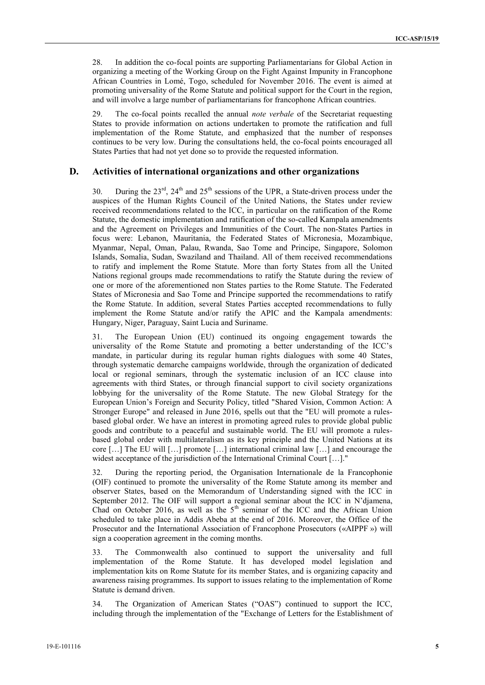28. In addition the co-focal points are supporting Parliamentarians for Global Action in organizing a meeting of the Working Group on the Fight Against Impunity in Francophone African Countries in Lomé, Togo, scheduled for November 2016. The event is aimed at promoting universality of the Rome Statute and political support for the Court in the region, and will involve a large number of parliamentarians for francophone African countries.

29. The co-focal points recalled the annual *note verbale* of the Secretariat requesting States to provide information on actions undertaken to promote the ratification and full implementation of the Rome Statute, and emphasized that the number of responses continues to be very low. During the consultations held, the co-focal points encouraged all States Parties that had not yet done so to provide the requested information.

### **D. Activities of international organizations and other organizations**

30. During the  $23^{\text{rd}}$ ,  $24^{\text{th}}$  and  $25^{\text{th}}$  sessions of the UPR, a State-driven process under the auspices of the Human Rights Council of the United Nations, the States under review received recommendations related to the ICC, in particular on the ratification of the Rome Statute, the domestic implementation and ratification of the so-called Kampala amendments and the Agreement on Privileges and Immunities of the Court. The non-States Parties in focus were: Lebanon, Mauritania, the Federated States of Micronesia, Mozambique, Myanmar, Nepal, Oman, Palau, Rwanda, Sao Tome and Principe, Singapore, Solomon Islands, Somalia, Sudan, Swaziland and Thailand. All of them received recommendations to ratify and implement the Rome Statute. More than forty States from all the United Nations regional groups made recommendations to ratify the Statute during the review of one or more of the aforementioned non States parties to the Rome Statute. The Federated States of Micronesia and Sao Tome and Principe supported the recommendations to ratify the Rome Statute. In addition, several States Parties accepted recommendations to fully implement the Rome Statute and/or ratify the APIC and the Kampala amendments: Hungary, Niger, Paraguay, Saint Lucia and Suriname.

31. The European Union (EU) continued its ongoing engagement towards the universality of the Rome Statute and promoting a better understanding of the ICC's mandate, in particular during its regular human rights dialogues with some 40 States, through systematic demarche campaigns worldwide, through the organization of dedicated local or regional seminars, through the systematic inclusion of an ICC clause into agreements with third States, or through financial support to civil society organizations lobbying for the universality of the Rome Statute. The new Global Strategy for the European Union's Foreign and Security Policy, titled "Shared Vision, Common Action: A Stronger Europe" and released in June 2016, spells out that the "EU will promote a rules based global order. We have an interest in promoting agreed rules to provide global public goods and contribute to a peaceful and sustainable world. The EU will promote a rules based global order with multilateralism as its key principle and the United Nations at its core […] The EU will […] promote […] international criminal law […] and encourage the widest acceptance of the jurisdiction of the International Criminal Court [...]."

32. During the reporting period, the Organisation Internationale de la Francophonie (OIF) continued to promote the universality of the Rome Statute among its member and observer States, based on the Memorandum of Understanding signed with the ICC in September 2012. The OIF will support a regional seminar about the ICC in N'djamena, Chad on October 2016, as well as the  $5<sup>th</sup>$  seminar of the ICC and the African Union scheduled to take place in Addis Abeba at the end of 2016. Moreover, the Office of the Prosecutor and the International Association of Francophone Prosecutors («AIPPF ») will sign a cooperation agreement in the coming months.

33. The Commonwealth also continued to support the universality and full implementation of the Rome Statute. It has developed model legislation and implementation kits on Rome Statute for its member States, and is organizing capacity and awareness raising programmes. Its support to issues relating to the implementation of Rome Statute is demand driven.

34. The Organization of American States ("OAS") continued to support the ICC, including through the implementation of the "Exchange of Letters for the Establishment of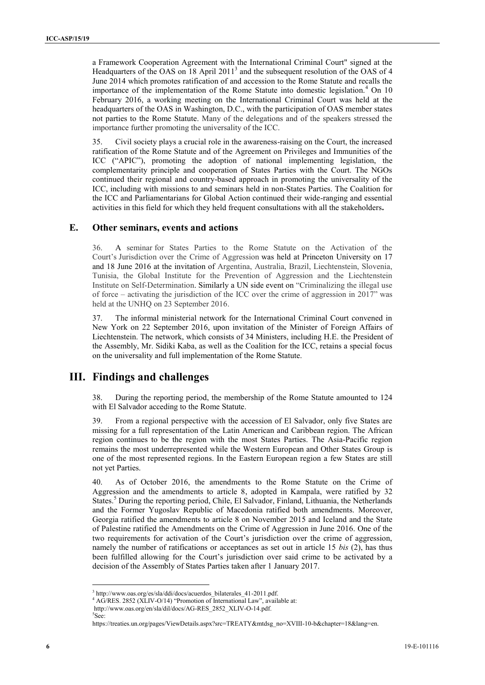a Framework Cooperation Agreement with the International Criminal Court" signed at the Headquarters of the OAS on 18 April  $2011<sup>3</sup>$  and the subsequent resolution of the OAS of 4 June 2014 which promotes ratification of and accession to the Rome Statute and recalls the importance of the implementation of the Rome Statute into domestic legislation.<sup>4</sup> On 10 February 2016, a working meeting on the International Criminal Court was held at the headquarters of the OAS in Washington, D.C., with the participation of OAS member states not parties to the Rome Statute. Many of the delegations and of the speakers stressed the importance further promoting the universality of the ICC.

35. Civil society plays a crucial role in the awareness-raising on the Court, the increased ratification of the Rome Statute and of the Agreement on Privileges and Immunities of the ICC ("APIC"), promoting the adoption of national implementing legislation, the complementarity principle and cooperation of States Parties with the Court. The NGOs continued their regional and country-based approach in promoting the universality of the ICC, including with missions to and seminars held in non-States Parties. The Coalition for the ICC and Parliamentarians for Global Action continued their wide-ranging and essential activities in this field for which they held frequent consultations with all the stakeholders**.**

### **E. Other seminars, events and actions**

36. A seminar for States Parties to the Rome Statute on the Activation of the Court's Jurisdiction over the Crime of Aggression was held at Princeton University on 17 and 18 June 2016 at the invitation of Argentina, Australia, Brazil, Liechtenstein, Slovenia, Tunisia, the Global Institute for the Prevention of Aggression and the Liechtenstein Institute on Self-Determination. Similarly a UN side event on "Criminalizing the illegal use of force – activating the jurisdiction of the ICC over the crime of aggression in 2017" was held at the UNHO on 23 September 2016.

37. The informal ministerial network for the International Criminal Court convened in New York on 22 September 2016, upon invitation of the Minister of Foreign Affairs of Liechtenstein. The network, which consists of 34 Ministers, including H.E. the President of the Assembly, Mr. Sidiki Kaba, as well as the Coalition for the ICC, retains a special focus on the universality and full implementation of the Rome Statute.

## **III. Findings and challenges**

38. During the reporting period, the membership of the Rome Statute amounted to 124 with El Salvador acceding to the Rome Statute.

39. From a regional perspective with the accession of El Salvador, only five States are missing for a full representation of the Latin American and Caribbean region. The African region continues to be the region with the most States Parties. The Asia-Pacific region remains the most underrepresented while the Western European and Other States Group is one of the most represented regions. In the Eastern European region a few States are still not yet Parties.

40. As of October 2016, the amendments to the Rome Statute on the Crime of Aggression and the amendments to article 8, adopted in Kampala, were ratified by 32 States.<sup>5</sup> During the reporting period, Chile, El Salvador, Finland, Lithuania, the Netherlands and the Former Yugoslav Republic of Macedonia ratified both amendments. Moreover, Georgia ratified the amendments to article 8 on November 2015 and Iceland and the State of Palestine ratified the Amendments on the Crime of Aggression in June 2016. One of the two requirements for activation of the Court's jurisdiction over the crime of aggression, namely the number of ratifications or acceptances as set out in article 15 *bis* (2), has thus been fulfilled allowing for the Court's jurisdiction over said crime to be activated by a decision of the Assembly of States Parties taken after 1 January 2017.

<sup>3</sup> http://www.oas.org/es/sla/ddi/docs/acuerdos\_bilaterales\_41-2011.pdf. <sup>4</sup> AG/RES. 2852 (XLIV-O/14) "Promotion of International Law", available at:

http://www.oas.org/en/sla/dil/docs/AG-RES\_2852\_XLIV-O-14.pdf. <sup>5</sup>See:

https://treaties.un.org/pages/ViewDetails.aspx?src=TREATY&mtdsg\_no=XVIII-10-b&chapter=18&lang=en.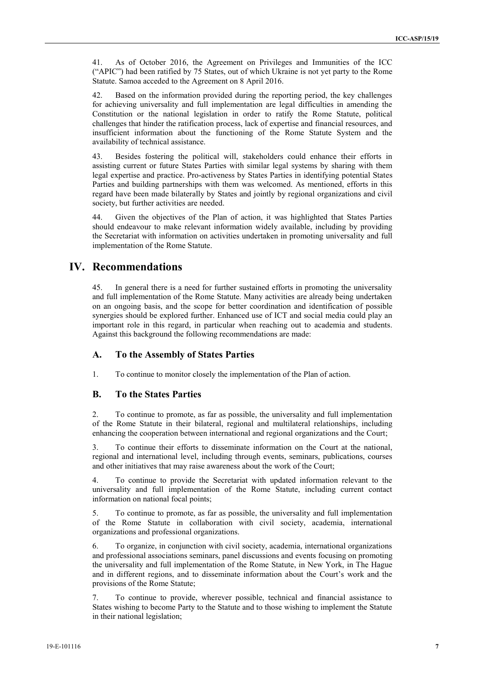41. As of October 2016, the Agreement on Privileges and Immunities of the ICC ("APIC") had been ratified by 75 States, out of which Ukraine is not yet party to the Rome Statute. Samoa acceded to the Agreement on 8 April 2016.

42. Based on the information provided during the reporting period, the key challenges for achieving universality and full implementation are legal difficulties in amending the Constitution or the national legislation in order to ratify the Rome Statute, political challenges that hinder the ratification process, lack of expertise and financial resources, and insufficient information about the functioning of the Rome Statute System and the availability of technical assistance.

43. Besides fostering the political will, stakeholders could enhance their efforts in assisting current or future States Parties with similar legal systems by sharing with them legal expertise and practice. Pro-activeness by States Parties in identifying potential States Parties and building partnerships with them was welcomed. As mentioned, efforts in this regard have been made bilaterally by States and jointly by regional organizations and civil society, but further activities are needed.

44. Given the objectives of the Plan of action, it was highlighted that States Parties should endeavour to make relevant information widely available, including by providing the Secretariat with information on activities undertaken in promoting universality and full implementation of the Rome Statute.

### **IV. Recommendations**

45. In general there is a need for further sustained efforts in promoting the universality and full implementation of the Rome Statute. Many activities are already being undertaken on an ongoing basis, and the scope for better coordination and identification of possible synergies should be explored further. Enhanced use of ICT and social media could play an important role in this regard, in particular when reaching out to academia and students. Against this background the following recommendations are made:

### **A. To the Assembly of States Parties**

1. To continue to monitor closely the implementation of the Plan of action.

#### **B. To the States Parties**

2. To continue to promote, as far as possible, the universality and full implementation of the Rome Statute in their bilateral, regional and multilateral relationships, including enhancing the cooperation between international and regional organizations and the Court;

3. To continue their efforts to disseminate information on the Court at the national, regional and international level, including through events, seminars, publications, courses and other initiatives that may raise awareness about the work of the Court;

4. To continue to provide the Secretariat with updated information relevant to the universality and full implementation of the Rome Statute, including current contact information on national focal points;

5. To continue to promote, as far as possible, the universality and full implementation of the Rome Statute in collaboration with civil society, academia, international organizations and professional organizations.

6. To organize, in conjunction with civil society, academia, international organizations and professional associations seminars, panel discussions and events focusing on promoting the universality and full implementation of the Rome Statute, in New York, in The Hague and in different regions, and to disseminate information about the Court's work and the provisions of the Rome Statute;

7. To continue to provide, wherever possible, technical and financial assistance to States wishing to become Party to the Statute and to those wishing to implement the Statute in their national legislation;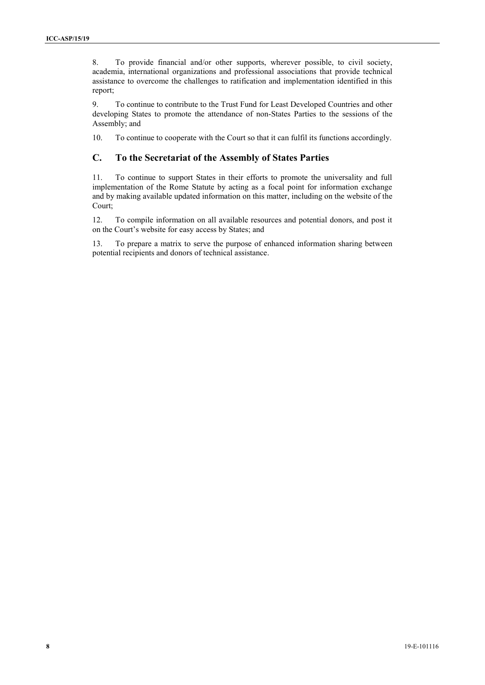8. To provide financial and/or other supports, wherever possible, to civil society, academia, international organizations and professional associations that provide technical assistance to overcome the challenges to ratification and implementation identified in this report;

9. To continue to contribute to the Trust Fund for Least Developed Countries and other developing States to promote the attendance of non-States Parties to the sessions of the Assembly; and

10. To continue to cooperate with the Court so that it can fulfil its functions accordingly.

### **C. To the Secretariat of the Assembly of States Parties**

11. To continue to support States in their efforts to promote the universality and full implementation of the Rome Statute by acting as a focal point for information exchange and by making available updated information on this matter, including on the website of the Court;

12. To compile information on all available resources and potential donors, and post it on the Court's website for easy access by States; and

13. To prepare a matrix to serve the purpose of enhanced information sharing between potential recipients and donors of technical assistance.